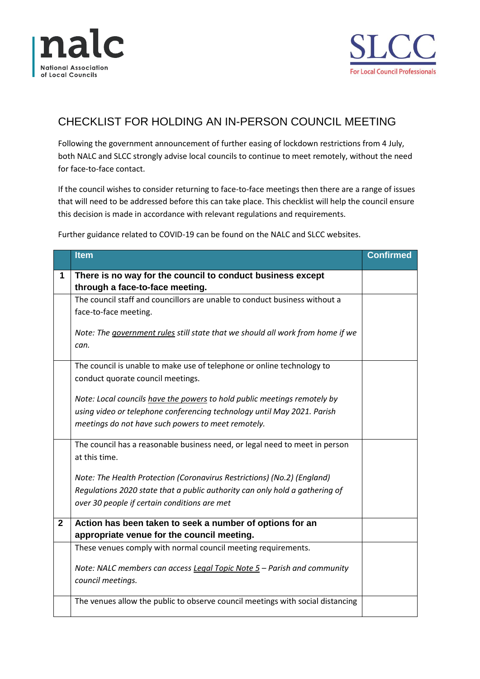



## CHECKLIST FOR HOLDING AN IN-PERSON COUNCIL MEETING

Following the government announcement of further easing of lockdown restrictions from 4 July, both NALC and SLCC strongly advise local councils to continue to meet remotely, without the need for face-to-face contact.

If the council wishes to consider returning to face-to-face meetings then there are a range of issues that will need to be addressed before this can take place. This checklist will help the council ensure this decision is made in accordance with relevant regulations and requirements.

Further guidance related to COVID-19 can be found on the NALC and SLCC websites.

|                | <b>Item</b>                                                                    | Confirmed |
|----------------|--------------------------------------------------------------------------------|-----------|
| 1              | There is no way for the council to conduct business except                     |           |
|                | through a face-to-face meeting.                                                |           |
|                | The council staff and councillors are unable to conduct business without a     |           |
|                | face-to-face meeting.                                                          |           |
|                | Note: The government rules still state that we should all work from home if we |           |
|                | can.                                                                           |           |
|                | The council is unable to make use of telephone or online technology to         |           |
|                | conduct quorate council meetings.                                              |           |
|                | Note: Local councils have the powers to hold public meetings remotely by       |           |
|                | using video or telephone conferencing technology until May 2021. Parish        |           |
|                | meetings do not have such powers to meet remotely.                             |           |
|                | The council has a reasonable business need, or legal need to meet in person    |           |
|                | at this time.                                                                  |           |
|                | Note: The Health Protection (Coronavirus Restrictions) (No.2) (England)        |           |
|                | Regulations 2020 state that a public authority can only hold a gathering of    |           |
|                | over 30 people if certain conditions are met                                   |           |
| $\overline{2}$ | Action has been taken to seek a number of options for an                       |           |
|                | appropriate venue for the council meeting.                                     |           |
|                | These venues comply with normal council meeting requirements.                  |           |
|                | Note: NALC members can access Legal Topic Note 5 - Parish and community        |           |
|                | council meetings.                                                              |           |
|                | The venues allow the public to observe council meetings with social distancing |           |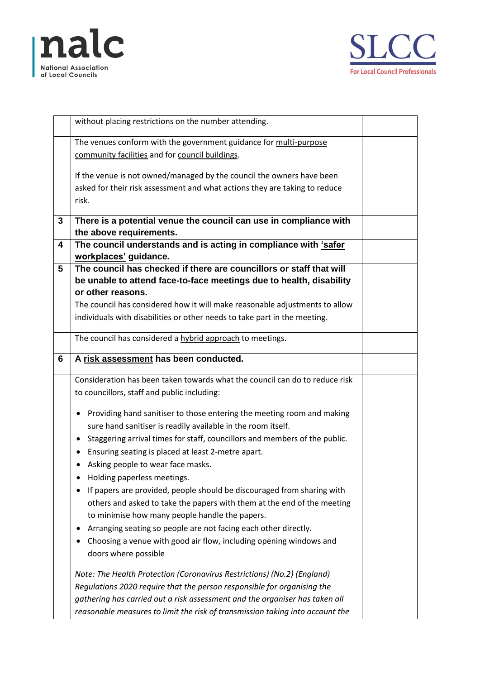



|   | without placing restrictions on the number attending.                                        |  |
|---|----------------------------------------------------------------------------------------------|--|
|   | The venues conform with the government guidance for multi-purpose                            |  |
|   | community facilities and for council buildings.                                              |  |
|   |                                                                                              |  |
|   | If the venue is not owned/managed by the council the owners have been                        |  |
|   | asked for their risk assessment and what actions they are taking to reduce                   |  |
|   | risk.                                                                                        |  |
|   |                                                                                              |  |
| 3 | There is a potential venue the council can use in compliance with<br>the above requirements. |  |
|   |                                                                                              |  |
| 4 | The council understands and is acting in compliance with 'safer                              |  |
|   | workplaces' guidance.                                                                        |  |
| 5 | The council has checked if there are councillors or staff that will                          |  |
|   | be unable to attend face-to-face meetings due to health, disability                          |  |
|   | or other reasons.                                                                            |  |
|   | The council has considered how it will make reasonable adjustments to allow                  |  |
|   | individuals with disabilities or other needs to take part in the meeting.                    |  |
|   | The council has considered a hybrid approach to meetings.                                    |  |
| 6 | A risk assessment has been conducted.                                                        |  |
|   |                                                                                              |  |
|   | Consideration has been taken towards what the council can do to reduce risk                  |  |
|   | to councillors, staff and public including:                                                  |  |
|   | Providing hand sanitiser to those entering the meeting room and making<br>٠                  |  |
|   | sure hand sanitiser is readily available in the room itself.                                 |  |
|   | Staggering arrival times for staff, councillors and members of the public.<br>٠              |  |
|   | Ensuring seating is placed at least 2-metre apart.                                           |  |
|   | Asking people to wear face masks.                                                            |  |
|   | Holding paperless meetings.                                                                  |  |
|   |                                                                                              |  |
|   | If papers are provided, people should be discouraged from sharing with                       |  |
|   | others and asked to take the papers with them at the end of the meeting                      |  |
|   | to minimise how many people handle the papers.                                               |  |
|   | Arranging seating so people are not facing each other directly.                              |  |
|   | Choosing a venue with good air flow, including opening windows and                           |  |
|   | doors where possible                                                                         |  |
|   | Note: The Health Protection (Coronavirus Restrictions) (No.2) (England)                      |  |
|   | Regulations 2020 require that the person responsible for organising the                      |  |
|   | gathering has carried out a risk assessment and the organiser has taken all                  |  |
|   | reasonable measures to limit the risk of transmission taking into account the                |  |
|   |                                                                                              |  |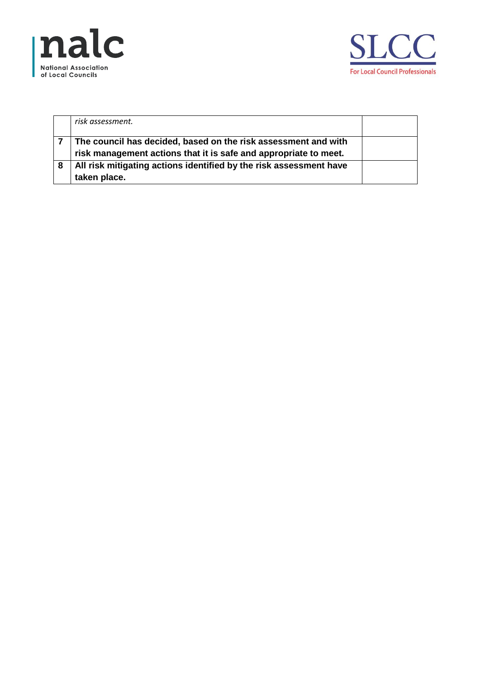



|   | risk assessment.                                                                                                                   |  |
|---|------------------------------------------------------------------------------------------------------------------------------------|--|
|   | The council has decided, based on the risk assessment and with<br>risk management actions that it is safe and appropriate to meet. |  |
| 8 | All risk mitigating actions identified by the risk assessment have<br>taken place.                                                 |  |